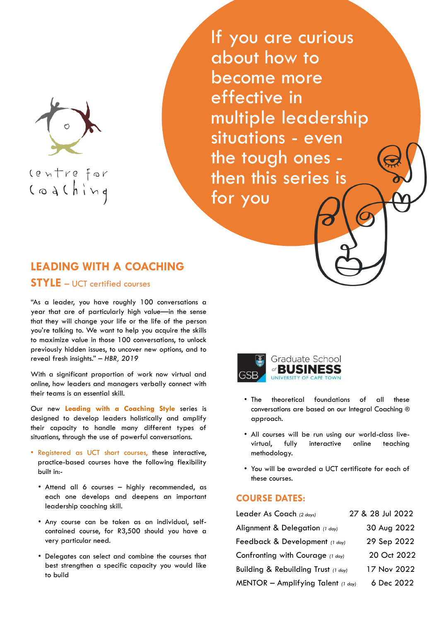

centre for  $C$  ad  $Ch$  ing

If you are curious about how to become more effective in multiple leadership situations - even the tough ones then this series is for you

## **LEADING WITH A COACHING**

**STYLE** – UCT certified courses

"As a leader, you have roughly 100 conversations a year that are of particularly high value—in the sense that they will change your life or the life of the person you're talking to. We want to help you acquire the skills to maximize value in those 100 conversations, to unlock previously hidden issues, to uncover new options, and to reveal fresh insights." *– HBR, 2019*

With a significant proportion of work now virtual and online, how leaders and managers verbally connect with their teams is an essential skill.

Our new **Leading with a Coaching Style** series is designed to develop leaders holistically and amplify their capacity to handle many different types of situations, through the use of powerful conversations.

• Registered as UCT short courses, these interactive, practice-based courses have the following flexibility



built in:-

- Attend all 6 courses highly recommended, as each one develops and deepens an important leadership coaching skill.
- Any course can be taken as an individual, selfcontained course, for R3,500 should you have a very particular need.
- Delegates can select and combine the courses that best strengthen a specific capacity you would like to build

## **COURSE DATES:**

| Leader As Coach (2 days)                     | 27 & 28 Jul 2022 |
|----------------------------------------------|------------------|
| Alignment & Delegation (1 day)               | 30 Aug 2022      |
| Feedback & Development (1 day)               | 29 Sep 2022      |
| Confronting with Courage (1 day)             | 20 Oct 2022      |
| Building & Rebuilding Trust (1 day)          | 17 Nov 2022      |
| MENTOR - Amplifying Talent $(1 \text{ day})$ | 6 Dec 2022       |

- The theoretical foundations of all these conversations are based on our Integral Coaching ® approach.
- All courses will be run using our world-class livevirtual, fully interactive online teaching methodology.
- You will be awarded a UCT certificate for each of

these courses.